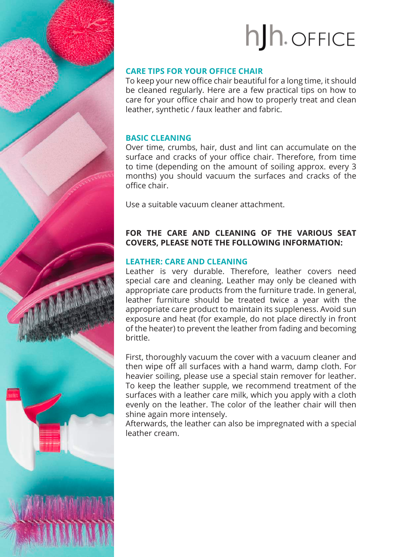

#### **CARE TIPS FOR YOUR OFFICE CHAIR**

To keep your new office chair beautiful for a long time, it should be cleaned regularly. Here are a few practical tips on how to care for your office chair and how to properly treat and clean leather, synthetic / faux leather and fabric.

#### **BASIC CLEANING**

Over time, crumbs, hair, dust and lint can accumulate on the surface and cracks of your office chair. Therefore, from time to time (depending on the amount of soiling approx. every 3 months) you should vacuum the surfaces and cracks of the office chair.

Use a suitable vacuum cleaner attachment.

## **FOR THE CARE AND CLEANING OF THE VARIOUS SEAT COVERS, PLEASE NOTE THE FOLLOWING INFORMATION:**

## **LEATHER: CARE AND CLEANING**

Leather is very durable. Therefore, leather covers need special care and cleaning. Leather may only be cleaned with appropriate care products from the furniture trade. In general, leather furniture should be treated twice a year with the appropriate care product to maintain its suppleness. Avoid sun exposure and heat (for example, do not place directly in front of the heater) to prevent the leather from fading and becoming brittle.

First, thoroughly vacuum the cover with a vacuum cleaner and then wipe off all surfaces with a hand warm, damp cloth. For heavier soiling, please use a special stain remover for leather. To keep the leather supple, we recommend treatment of the surfaces with a leather care milk, which you apply with a cloth evenly on the leather. The color of the leather chair will then shine again more intensely.

Afterwards, the leather can also be impregnated with a special leather cream.